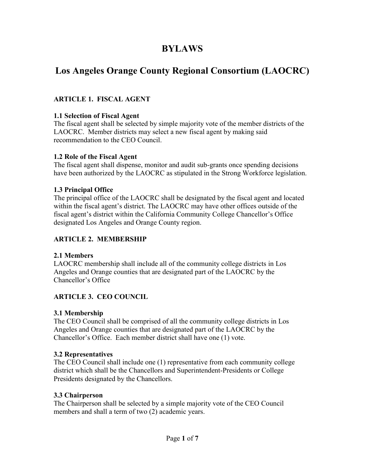# **BYLAWS**

# **Los Angeles Orange County Regional Consortium (LAOCRC)**

# **ARTICLE 1. FISCAL AGENT**

#### **1.1 Selection of Fiscal Agent**

The fiscal agent shall be selected by simple majority vote of the member districts of the LAOCRC. Member districts may select a new fiscal agent by making said recommendation to the CEO Council.

#### **1.2 Role of the Fiscal Agent**

The fiscal agent shall dispense, monitor and audit sub-grants once spending decisions have been authorized by the LAOCRC as stipulated in the Strong Workforce legislation.

#### **1.3 Principal Office**

The principal office of the LAOCRC shall be designated by the fiscal agent and located within the fiscal agent's district. The LAOCRC may have other offices outside of the fiscal agent's district within the California Community College Chancellor's Office designated Los Angeles and Orange County region.

# **ARTICLE 2. MEMBERSHIP**

# **2.1 Members**

LAOCRC membership shall include all of the community college districts in Los Angeles and Orange counties that are designated part of the LAOCRC by the Chancellor's Office

# **ARTICLE 3. CEO COUNCIL**

# **3.1 Membership**

The CEO Council shall be comprised of all the community college districts in Los Angeles and Orange counties that are designated part of the LAOCRC by the Chancellor's Office. Each member district shall have one (1) vote.

#### **3.2 Representatives**

The CEO Council shall include one (1) representative from each community college district which shall be the Chancellors and Superintendent-Presidents or College Presidents designated by the Chancellors.

#### **3.3 Chairperson**

The Chairperson shall be selected by a simple majority vote of the CEO Council members and shall a term of two (2) academic years.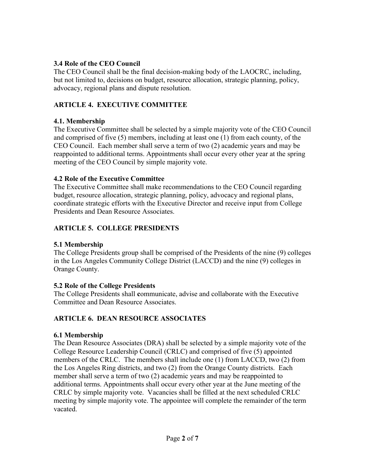## **3.4 Role of the CEO Council**

The CEO Council shall be the final decision-making body of the LAOCRC, including, but not limited to, decisions on budget, resource allocation, strategic planning, policy, advocacy, regional plans and dispute resolution.

# **ARTICLE 4. EXECUTIVE COMMITTEE**

#### **4.1. Membership**

The Executive Committee shall be selected by a simple majority vote of the CEO Council and comprised of five (5) members, including at least one (1) from each county, of the CEO Council. Each member shall serve a term of two (2) academic years and may be reappointed to additional terms. Appointments shall occur every other year at the spring meeting of the CEO Council by simple majority vote.

#### **4.2 Role of the Executive Committee**

The Executive Committee shall make recommendations to the CEO Council regarding budget, resource allocation, strategic planning, policy, advocacy and regional plans, coordinate strategic efforts with the Executive Director and receive input from College Presidents and Dean Resource Associates.

# **ARTICLE 5. COLLEGE PRESIDENTS**

# **5.1 Membership**

The College Presidents group shall be comprised of the Presidents of the nine (9) colleges in the Los Angeles Community College District (LACCD) and the nine (9) colleges in Orange County.

# **5.2 Role of the College Presidents**

The College Presidents shall **c**ommunicate, advise and collaborate with the Executive Committee and Dean Resource Associates.

# **ARTICLE 6. DEAN RESOURCE ASSOCIATES**

# **6.1 Membership**

The Dean Resource Associates (DRA) shall be selected by a simple majority vote of the College Resource Leadership Council (CRLC) and comprised of five (5) appointed members of the CRLC. The members shall include one (1) from LACCD, two (2) from the Los Angeles Ring districts, and two (2) from the Orange County districts. Each member shall serve a term of two (2) academic years and may be reappointed to additional terms. Appointments shall occur every other year at the June meeting of the CRLC by simple majority vote. Vacancies shall be filled at the next scheduled CRLC meeting by simple majority vote. The appointee will complete the remainder of the term vacated.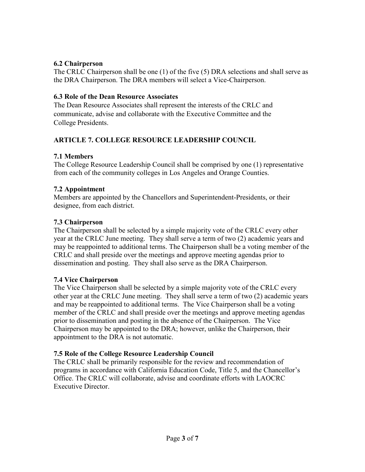## **6.2 Chairperson**

The CRLC Chairperson shall be one (1) of the five (5) DRA selections and shall serve as the DRA Chairperson. The DRA members will select a Vice-Chairperson.

#### **6.3 Role of the Dean Resource Associates**

The Dean Resource Associates shall represent the interests of the CRLC and communicate, advise and collaborate with the Executive Committee and the College Presidents.

# **ARTICLE 7. COLLEGE RESOURCE LEADERSHIP COUNCIL**

#### **7.1 Members**

The College Resource Leadership Council shall be comprised by one (1) representative from each of the community colleges in Los Angeles and Orange Counties.

#### **7.2 Appointment**

Members are appointed by the Chancellors and Superintendent-Presidents, or their designee, from each district.

#### **7.3 Chairperson**

The Chairperson shall be selected by a simple majority vote of the CRLC every other year at the CRLC June meeting. They shall serve a term of two (2) academic years and may be reappointed to additional terms. The Chairperson shall be a voting member of the CRLC and shall preside over the meetings and approve meeting agendas prior to dissemination and posting. They shall also serve as the DRA Chairperson.

#### **7.4 Vice Chairperson**

The Vice Chairperson shall be selected by a simple majority vote of the CRLC every other year at the CRLC June meeting. They shall serve a term of two (2) academic years and may be reappointed to additional terms. The Vice Chairperson shall be a voting member of the CRLC and shall preside over the meetings and approve meeting agendas prior to dissemination and posting in the absence of the Chairperson. The Vice Chairperson may be appointed to the DRA; however, unlike the Chairperson, their appointment to the DRA is not automatic.

#### **7.5 Role of the College Resource Leadership Council**

The CRLC shall be primarily responsible for the review and recommendation of programs in accordance with California Education Code, Title 5, and the Chancellor's Office. The CRLC will collaborate, advise and coordinate efforts with LAOCRC Executive Director.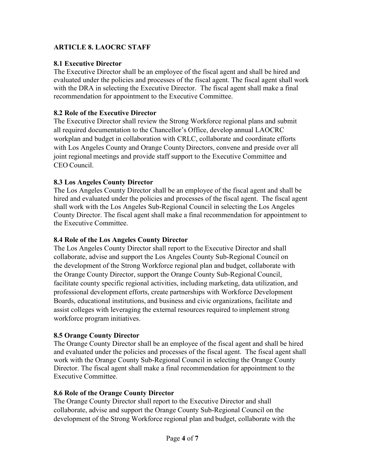# **ARTICLE 8. LAOCRC STAFF**

## **8.1 Executive Director**

The Executive Director shall be an employee of the fiscal agent and shall be hired and evaluated under the policies and processes of the fiscal agent. The fiscal agent shall work with the DRA in selecting the Executive Director. The fiscal agent shall make a final recommendation for appointment to the Executive Committee.

#### **8.2 Role of the Executive Director**

The Executive Director shall review the Strong Workforce regional plans and submit all required documentation to the Chancellor's Office, develop annual LAOCRC workplan and budget in collaboration with CRLC, collaborate and coordinate efforts with Los Angeles County and Orange County Directors, convene and preside over all joint regional meetings and provide staff support to the Executive Committee and CEO Council.

#### **8.3 Los Angeles County Director**

The Los Angeles County Director shall be an employee of the fiscal agent and shall be hired and evaluated under the policies and processes of the fiscal agent. The fiscal agent shall work with the Los Angeles Sub-Regional Council in selecting the Los Angeles County Director. The fiscal agent shall make a final recommendation for appointment to the Executive Committee.

#### **8.4 Role of the Los Angeles County Director**

The Los Angeles County Director shall report to the Executive Director and shall collaborate, advise and support the Los Angeles County Sub-Regional Council on the development of the Strong Workforce regional plan and budget, collaborate with the Orange County Director, support the Orange County Sub-Regional Council, facilitate county specific regional activities, including marketing, data utilization, and professional development efforts, create partnerships with Workforce Development Boards, educational institutions, and business and civic organizations, facilitate and assist colleges with leveraging the external resources required to implement strong workforce program initiatives.

# **8.5 Orange County Director**

The Orange County Director shall be an employee of the fiscal agent and shall be hired and evaluated under the policies and processes of the fiscal agent. The fiscal agent shall work with the Orange County Sub-Regional Council in selecting the Orange County Director. The fiscal agent shall make a final recommendation for appointment to the Executive Committee.

#### **8.6 Role of the Orange County Director**

The Orange County Director shall report to the Executive Director and shall collaborate, advise and support the Orange County Sub-Regional Council on the development of the Strong Workforce regional plan and budget, collaborate with the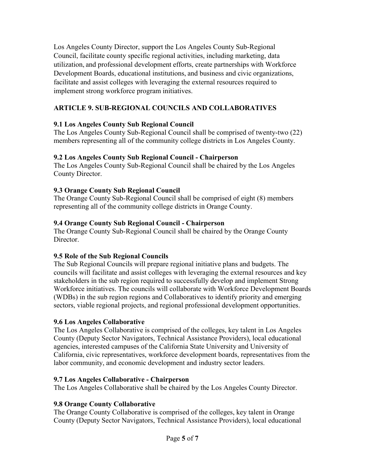Los Angeles County Director, support the Los Angeles County Sub-Regional Council, facilitate county specific regional activities, including marketing, data utilization, and professional development efforts, create partnerships with Workforce Development Boards, educational institutions, and business and civic organizations, facilitate and assist colleges with leveraging the external resources required to implement strong workforce program initiatives.

# **ARTICLE 9. SUB-REGIONAL COUNCILS AND COLLABORATIVES**

# **9.1 Los Angeles County Sub Regional Council**

The Los Angeles County Sub-Regional Council shall be comprised of twenty-two (22) members representing all of the community college districts in Los Angeles County.

# **9.2 Los Angeles County Sub Regional Council - Chairperson**

The Los Angeles County Sub-Regional Council shall be chaired by the Los Angeles County Director.

# **9.3 Orange County Sub Regional Council**

The Orange County Sub-Regional Council shall be comprised of eight (8) members representing all of the community college districts in Orange County.

# **9.4 Orange County Sub Regional Council - Chairperson**

The Orange County Sub-Regional Council shall be chaired by the Orange County Director.

# **9.5 Role of the Sub Regional Councils**

The Sub Regional Councils will prepare regional initiative plans and budgets. The councils will facilitate and assist colleges with leveraging the external resources and key stakeholders in the sub region required to successfully develop and implement Strong Workforce initiatives. The councils will collaborate with Workforce Development Boards (WDBs) in the sub region regions and Collaboratives to identify priority and emerging sectors, viable regional projects, and regional professional development opportunities.

# **9.6 Los Angeles Collaborative**

The Los Angeles Collaborative is comprised of the colleges, key talent in Los Angeles County (Deputy Sector Navigators, Technical Assistance Providers), local educational agencies, interested campuses of the California State University and University of California, civic representatives, workforce development boards, representatives from the labor community, and economic development and industry sector leaders.

# **9.7 Los Angeles Collaborative - Chairperson**

The Los Angeles Collaborative shall be chaired by the Los Angeles County Director.

# **9.8 Orange County Collaborative**

The Orange County Collaborative is comprised of the colleges, key talent in Orange County (Deputy Sector Navigators, Technical Assistance Providers), local educational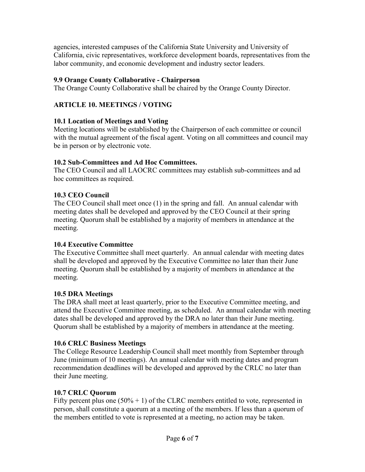agencies, interested campuses of the California State University and University of California, civic representatives, workforce development boards, representatives from the labor community, and economic development and industry sector leaders.

# **9.9 Orange County Collaborative - Chairperson**

The Orange County Collaborative shall be chaired by the Orange County Director.

# **ARTICLE 10. MEETINGS / VOTING**

# **10.1 Location of Meetings and Voting**

Meeting locations will be established by the Chairperson of each committee or council with the mutual agreement of the fiscal agent. Voting on all committees and council may be in person or by electronic vote.

# **10.2 Sub-Committees and Ad Hoc Committees.**

The CEO Council and all LAOCRC committees may establish sub-committees and ad hoc committees as required.

# **10.3 CEO Council**

The CEO Council shall meet once (1) in the spring and fall. An annual calendar with meeting dates shall be developed and approved by the CEO Council at their spring meeting. Quorum shall be established by a majority of members in attendance at the meeting.

# **10.4 Executive Committee**

The Executive Committee shall meet quarterly. An annual calendar with meeting dates shall be developed and approved by the Executive Committee no later than their June meeting. Quorum shall be established by a majority of members in attendance at the meeting.

# **10.5 DRA Meetings**

The DRA shall meet at least quarterly, prior to the Executive Committee meeting, and attend the Executive Committee meeting, as scheduled. An annual calendar with meeting dates shall be developed and approved by the DRA no later than their June meeting. Quorum shall be established by a majority of members in attendance at the meeting.

# **10.6 CRLC Business Meetings**

The College Resource Leadership Council shall meet monthly from September through June (minimum of 10 meetings). An annual calendar with meeting dates and program recommendation deadlines will be developed and approved by the CRLC no later than their June meeting.

# **10.7 CRLC Quorum**

Fifty percent plus one  $(50% + 1)$  of the CLRC members entitled to vote, represented in person, shall constitute a quorum at a meeting of the members. If less than a quorum of the members entitled to vote is represented at a meeting, no action may be taken.